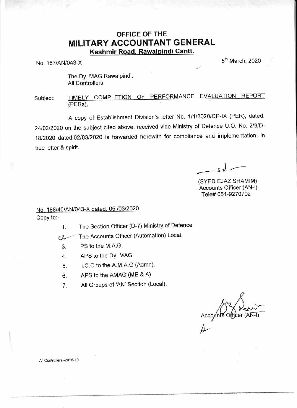## OFFICE OF THE MILITARY ACCOUNTANT GENERAL Kashmir Road, Rawalpindi Cantt.

 $N_{\rm O}$  187/AN/043-X  $5^{\rm th}$  March, 2020

The Dv. MAG Rawalpindi; All Controllers.

## Subject: TIMELY COMPLETION OF PERFORMANCE EVALUATION REPORT  $(PERs)$ .

A copy of Establishment Division's letter No. 1/1/2020/CP-IX (PER), dated. 24/02/2020 on the subject cited above, received vide Ministry of Defence U.O. No. 2/3/D-18/2020 dated.02/03/2020 is forwarded herewith for compliance and implementation, in true letter & spirit.

 $\lambda$ 

(SYED EJAZ SHANIIM) Accounts Officer (AN-l) Tele# A51-9270702

## No. 188/49/AN/043-X dated. 05 /03/2020 Copy to:-

1. The Section Officer (D-7) Ministry of Defence.

The Accounts Officer (Automation) Local.

- 3. PS to the M.A.G.
- 4. APS to the Dy. MAG.
- 5. I.C.O to the A.M.A.G (Admn).
- 6. APS to the AMAG (ME & A)
- 7. All Groups of 'AN' Section (Local).

 $(A\overline{N-1})$ 

 $\cancel{\varphi}$ 

All Controllers -2018-19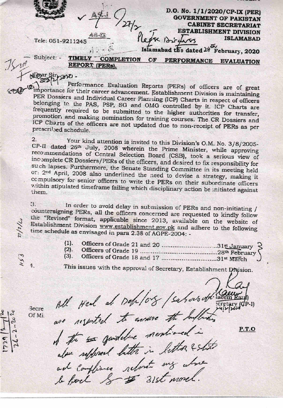$-44$ 

Tele: 051-9211245

D.O. No. 1/1/2020/CP-IX (PER) **GOVERNMENT OF PAKISTAN CABINET SECRETARIAT ESTABLISHMENT DIVISION** Please Birgers **ISLAMABAD** 

Islamabad the dated 24 February, 2020

Subject: -

**TIMELY COMPLETION** PERFORMANCE EVALUATION  $CF$ REPORT (PERs).

NPpar Sirpano.  $321$ 

Performance Evaluation Reports (PERs) of officers are of great mportance for their career advancement. Establishment Division is maintaining PER Dossiers and Individual Career Planning (ICP) Charts in respect of officers belonging to the PAS, PSP, SG and OMG controlled by it. ICP Charts are frequently required to be submitted to the higher authorities for transfer, promotior, and making nomination for training courses. The CR Dossiers and ICP Charts of the officers are not updated due to non-receipt of PERs as per prescribed schedule.

2. Your kind attention is invited to this Division's O.M. No. 3/8/2005-CP-II dated 26th July, 2008 wherein the Prime Minister, while approving recommendations of Central Selection Board (CSB), took a serious view of incomplete CR Dossiers/PERs of the officers, and desired to fix responsibility for such lapses. Furthermore, the Senate Standing Committee in its meeting held or: 2nd April, 2008 also underlined the need to devise a strategy, making it compulsory for senior officers to write the PERs on their subordinate officers within stipulated timeframe failing which disciplinary action be initiated against them.

3. In order to avoid delay in submission of PERs and non-initiating / countersigning PERs, all the officers concerned are requested to kindly follow the "Revised" format, applicable since 2013, available on the website of Establishment Division www.establishment.gov.pk and adhere to the following time schedule as envisaged in para 2.38 of AGPE-2004: -

- Officers of Grade 21 and 20 ...............................31st January 3  $(1).$  $(2).$
- Officers of Grade 18 and 17 ................................31st March  $(3)$ .

This issues with the approval of Secretary, Establishment Division.

All Heal at Dep/08 /sabors off lacen are resented to answer the Influence

Secre Of Mi

 $1/3$ 

A the sai quideline mentioned in alour replaced better in letter & state ad compliance reforet my also le fact S # 31st morel.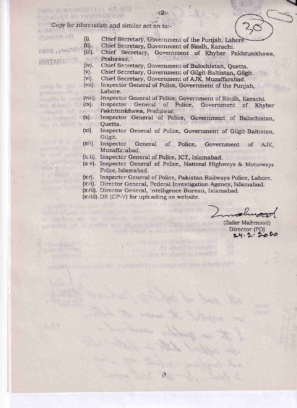Copy for information and similar act on to:-

 $(i)$ . Chief Secretary, Government of the Punjab, Lahore.

 $-2.2$ 

 $(ii)$ . Chief Secretary, Government of Sindh, Karachi.

 $(iii)$ .

**大心 医发展器的生育 不定** 

ty of ac ware starte

Chief Secretary, Government of Khyber Pakhtunkhawa,

表示图: Peshawar.

- $(iv).$ Chief Secretary, Government of Balochistan, Quetta.
- Chief Secretary, Government of Gilgit-Baltistan, Gilgit.  $(v)$ .
- $(vi)$ . Chief Secretary, Government of AJK, Muzaffarabad.
- (vii). Inspector General of Police, Government of the Punjab,
- Lahore.  $5.563$
- Harry by Lawrence (viii). Inspector General of Police, Government of Sindh, Karachi.
- (ix). Inspector General of Police, Government of Khyber Pakhtunkhawa, Peshawar.
- (x). Inspector General of Police, Government of Balochistan. and the albema in Quetta, and helphall has
	- Inspector General of Police, Government of Gilgit-Baltistan,  $(x_i)$ . Gilgit.
	- (xii). Inspector General of Police, Government of AJK, Muzaffarabad.
	- (xii). Inspector General of Police, ICT, Islamabad.
	- (x v). Inspector General of Police, National Highways & Motorways Police, Islamabad.
	- (xv). Inspector General of Police, Pakistan Railways Police, Lahore.
	- (xvi). Director General, Federal Investigation Agency, Islamabad.

. He aus Friendrich in Nach

d answer distribute reports

TEL OR AUTO DEPART

(xvii). Director General, Intelligence Bureau, Islamabad.

(xviii). DS (CP-V) for uplcading on website.

中心想 西山村的道路中的时间

(2) 18. 输入 ( 当标) 5 - 以 1. 17. 自动 3 行 1 私人 3 多字字 / )

to alladoo del cor visuone, Lisk schal and degre

antenent the all spokes the should nearer in tweet

(Zafar Mahmood) Director (PD)  $24.2.2020$ 

**上海水生的表 不注** OTEN ... Parte 10 . HOITANA

TRANS 整 300

pose ushamay

나라 이 이 정도

New Wilson

 $n + 1 = 1$ 

the that when the got don't an high kind

Permitted in

(本部には) 出名り

**CONTRACTOR**